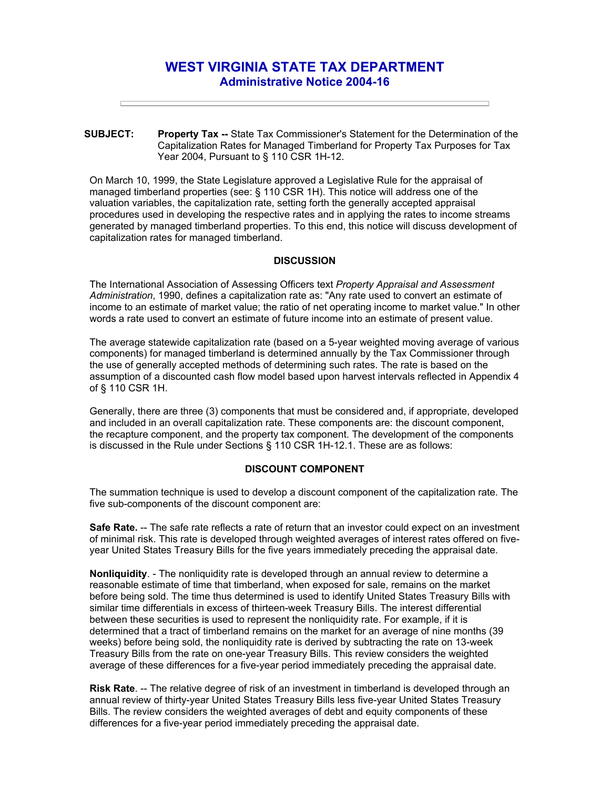# **WEST VIRGINIA STATE TAX DEPARTMENT Administrative Notice 2004-16**

**SUBJECT: Property Tax --** State Tax Commissioner's Statement for the Determination of the Capitalization Rates for Managed Timberland for Property Tax Purposes for Tax Year 2004, Pursuant to § 110 CSR 1H-12.

On March 10, 1999, the State Legislature approved a Legislative Rule for the appraisal of managed timberland properties (see: § 110 CSR 1H). This notice will address one of the valuation variables, the capitalization rate, setting forth the generally accepted appraisal procedures used in developing the respective rates and in applying the rates to income streams generated by managed timberland properties. To this end, this notice will discuss development of capitalization rates for managed timberland.

#### **DISCUSSION**

The International Association of Assessing Officers text *Property Appraisal and Assessment Administration*, 1990, defines a capitalization rate as: "Any rate used to convert an estimate of income to an estimate of market value; the ratio of net operating income to market value." In other words a rate used to convert an estimate of future income into an estimate of present value.

The average statewide capitalization rate (based on a 5-year weighted moving average of various components) for managed timberland is determined annually by the Tax Commissioner through the use of generally accepted methods of determining such rates. The rate is based on the assumption of a discounted cash flow model based upon harvest intervals reflected in Appendix 4 of § 110 CSR 1H.

Generally, there are three (3) components that must be considered and, if appropriate, developed and included in an overall capitalization rate. These components are: the discount component, the recapture component, and the property tax component. The development of the components is discussed in the Rule under Sections § 110 CSR 1H-12.1. These are as follows:

### **DISCOUNT COMPONENT**

The summation technique is used to develop a discount component of the capitalization rate. The five sub-components of the discount component are:

**Safe Rate.** -- The safe rate reflects a rate of return that an investor could expect on an investment of minimal risk. This rate is developed through weighted averages of interest rates offered on fiveyear United States Treasury Bills for the five years immediately preceding the appraisal date.

**Nonliquidity**. - The nonliquidity rate is developed through an annual review to determine a reasonable estimate of time that timberland, when exposed for sale, remains on the market before being sold. The time thus determined is used to identify United States Treasury Bills with similar time differentials in excess of thirteen-week Treasury Bills. The interest differential between these securities is used to represent the nonliquidity rate. For example, if it is determined that a tract of timberland remains on the market for an average of nine months (39 weeks) before being sold, the nonliquidity rate is derived by subtracting the rate on 13-week Treasury Bills from the rate on one-year Treasury Bills. This review considers the weighted average of these differences for a five-year period immediately preceding the appraisal date.

**Risk Rate**. -- The relative degree of risk of an investment in timberland is developed through an annual review of thirty-year United States Treasury Bills less five-year United States Treasury Bills. The review considers the weighted averages of debt and equity components of these differences for a five-year period immediately preceding the appraisal date.